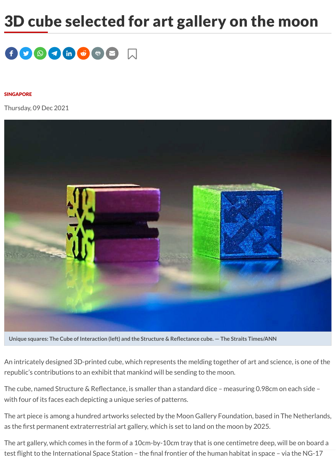## 3D cube selected for art gallery on the moon



## [SINGAPORE](https://www.thestar.com.my/tag/singapore)

Thursday, 09 Dec 2021



**Unique squares: The Cube of Interaction (left) and the Structure & Reflectance cube. — The Straits Times/ANN**

An intricately designed 3D-printed cube, which represents the melding together of art and science, is one of the republic's contributions to an exhibit that mankind will be sending to the moon.

The cube, named Structure & Reflectance, is smaller than a standard dice – measuring 0.98cm on each side – with four of its faces each depicting a unique series of patterns.

The art piece is among a hundred artworks selected by the Moon Gallery Foundation, based in The Netherlands, as the first permanent extraterrestrial art gallery, which is set to land on the moon by 2025.

The art gallery, which comes in the form of a 10cm-by-10cm tray that is one centimetre deep, will be on board a test fli[ght to the](https://www.thestar.com.my/) Internation[al Space St](https://www.thestar.com.my/foryou)ation – the fi[nal fronti](https://www.thestar.com.my/saved-articles)er of the human habitat in space – via the NG-17